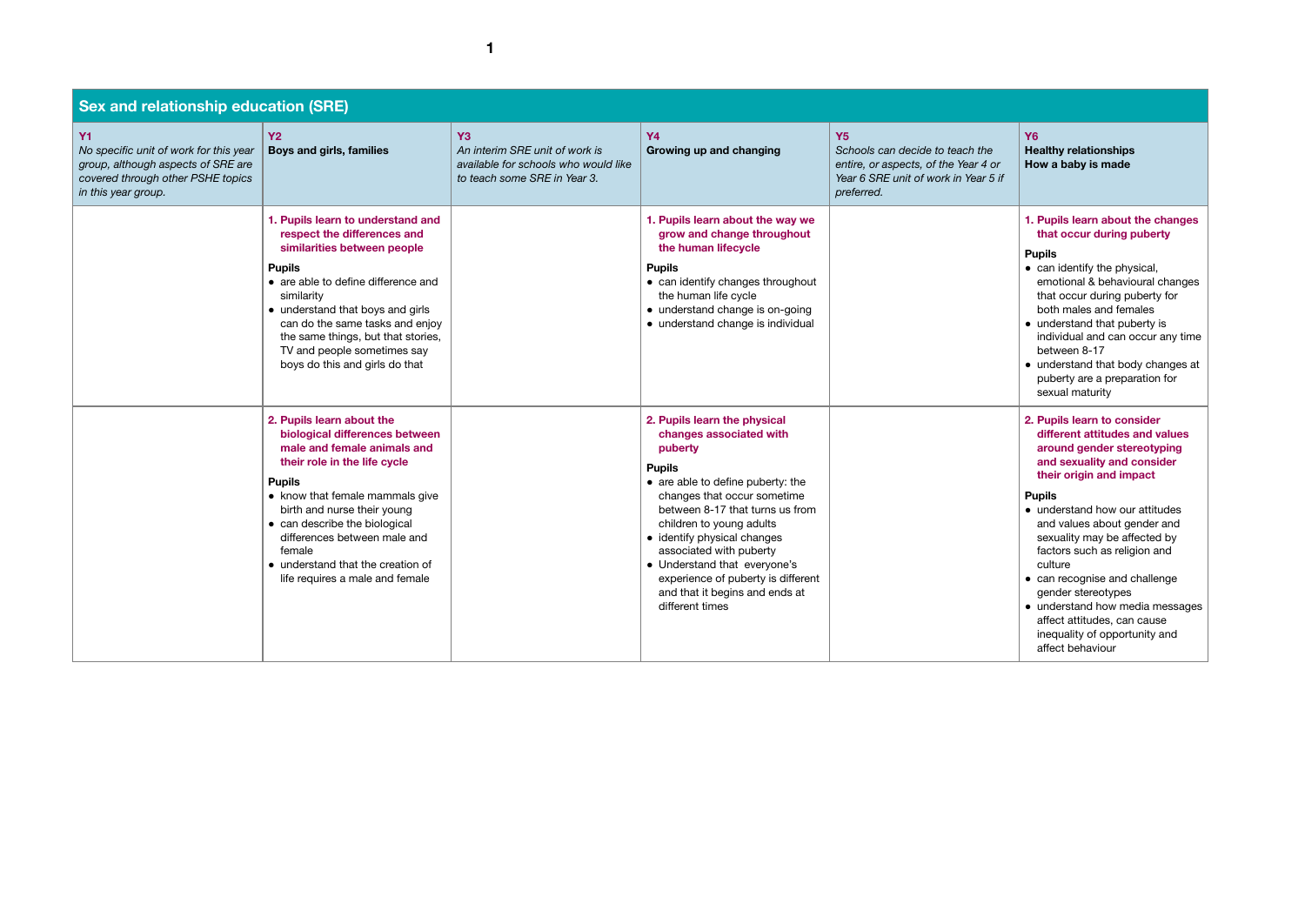| <b>Sex and relationship education (SRE)</b>                                                                                                           |                                                                                                                                                                                                                                                                                                                                                                  |                                                                                                                          |                                                                                                                                                                                                                                                                                                                                                                                                             |                                                                                                                                            |
|-------------------------------------------------------------------------------------------------------------------------------------------------------|------------------------------------------------------------------------------------------------------------------------------------------------------------------------------------------------------------------------------------------------------------------------------------------------------------------------------------------------------------------|--------------------------------------------------------------------------------------------------------------------------|-------------------------------------------------------------------------------------------------------------------------------------------------------------------------------------------------------------------------------------------------------------------------------------------------------------------------------------------------------------------------------------------------------------|--------------------------------------------------------------------------------------------------------------------------------------------|
| <b>Y1</b><br>No specific unit of work for this year<br>group, although aspects of SRE are<br>covered through other PSHE topics<br>in this year group. | <b>Y2</b><br>Boys and girls, families                                                                                                                                                                                                                                                                                                                            | Y <sub>3</sub><br>An interim SRE unit of work is<br>available for schools who would like<br>to teach some SRE in Year 3. | <b>Y4</b><br>Growing up and changing                                                                                                                                                                                                                                                                                                                                                                        | <b>Y5</b><br>Schools can decide to teach the<br>entire, or aspects, of the Year 4 or<br>Year 6 SRE unit of work in Year 5 if<br>preferred. |
|                                                                                                                                                       | 1. Pupils learn to understand and<br>respect the differences and<br>similarities between people<br><b>Pupils</b><br>• are able to define difference and<br>similarity<br>• understand that boys and girls<br>can do the same tasks and enjoy<br>the same things, but that stories,<br>TV and people sometimes say<br>boys do this and girls do that              |                                                                                                                          | 1. Pupils learn about the way we<br>grow and change throughout<br>the human lifecycle<br><b>Pupils</b><br>• can identify changes throughout<br>the human life cycle<br>• understand change is on-going<br>· understand change is individual                                                                                                                                                                 |                                                                                                                                            |
|                                                                                                                                                       | 2. Pupils learn about the<br>biological differences between<br>male and female animals and<br>their role in the life cycle<br><b>Pupils</b><br>• know that female mammals give<br>birth and nurse their young<br>• can describe the biological<br>differences between male and<br>female<br>• understand that the creation of<br>life requires a male and female |                                                                                                                          | 2. Pupils learn the physical<br>changes associated with<br>puberty<br><b>Pupils</b><br>• are able to define puberty: the<br>changes that occur sometime<br>between 8-17 that turns us from<br>children to young adults<br>• identify physical changes<br>associated with puberty<br>• Understand that everyone's<br>experience of puberty is different<br>and that it begins and ends at<br>different times |                                                                                                                                            |

| e<br><b>or</b><br>5 if | Y6<br><b>Healthy relationships</b><br>How a baby is made                                                                                                                                                                                                                                                                          |
|------------------------|-----------------------------------------------------------------------------------------------------------------------------------------------------------------------------------------------------------------------------------------------------------------------------------------------------------------------------------|
|                        | 1. Pupils learn about the changes<br>that occur during puberty                                                                                                                                                                                                                                                                    |
|                        | <b>Pupils</b><br>can identify the physical,<br>emotional & behavioural changes<br>that occur during puberty for<br>both males and females<br>understand that puberty is<br>individual and can occur any time<br>between 8-17<br>understand that body changes at<br>puberty are a preparation for<br>sexual maturity               |
|                        | 2. Pupils learn to consider<br>different attitudes and values<br>around gender stereotyping<br>and sexuality and consider<br>their origin and impact                                                                                                                                                                              |
|                        | <b>Pupils</b><br>understand how our attitudes<br>and values about gender and<br>sexuality may be affected by<br>factors such as religion and<br>culture<br>can recognise and challenge<br>gender stereotypes<br>understand how media messages<br>affect attitudes, can cause<br>inequality of opportunity and<br>affect behaviour |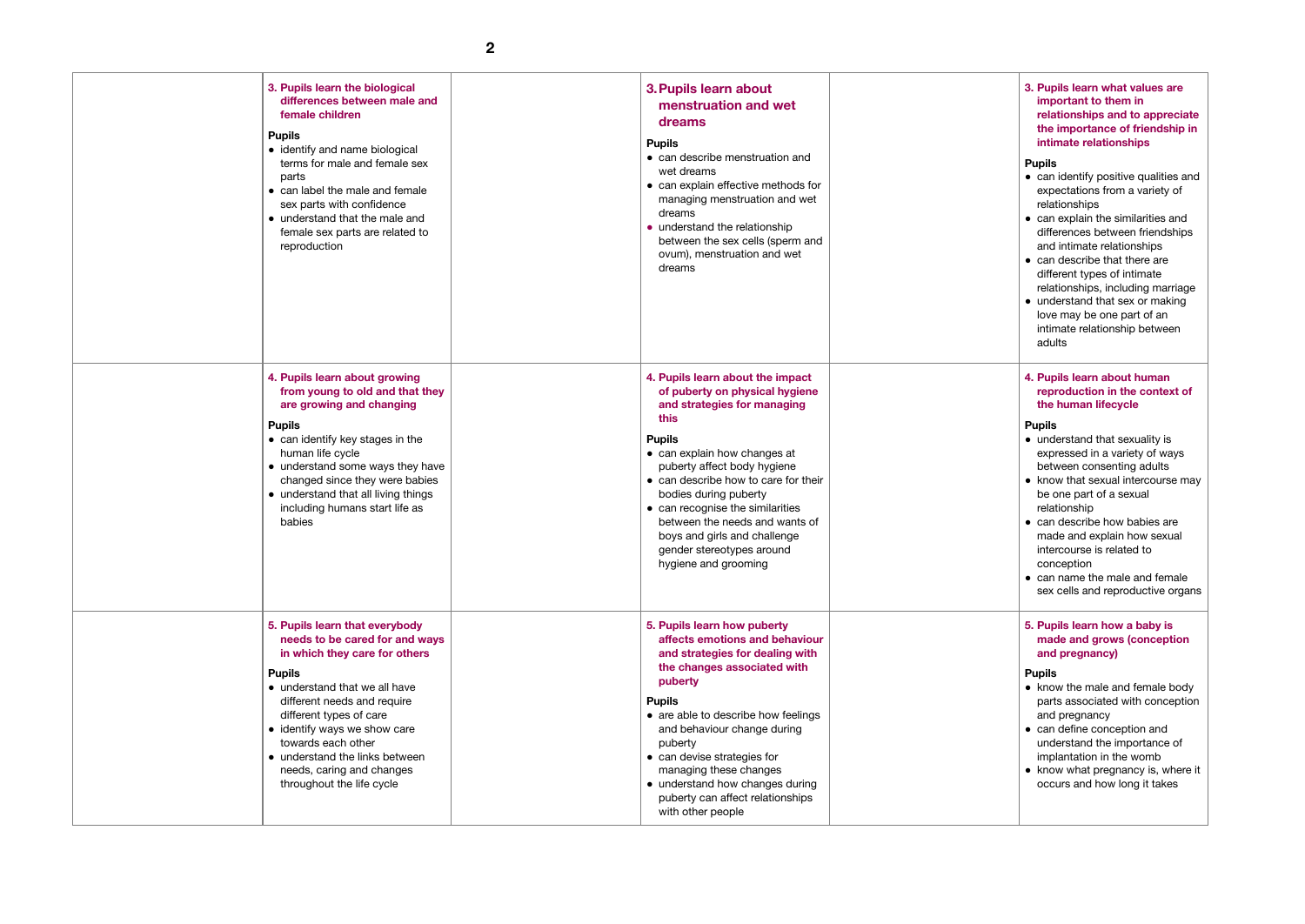| 3. Pupils learn the biological<br>differences between male and<br>female children<br><b>Pupils</b><br>• identify and name biological<br>terms for male and female sex<br>parts<br>• can label the male and female<br>sex parts with confidence<br>• understand that the male and<br>female sex parts are related to<br>reproduction                             | 3. Pupils learn about<br>menstruation and wet<br>dreams<br><b>Pupils</b><br>• can describe menstruation and<br>wet dreams<br>• can explain effective methods for<br>managing menstruation and wet<br>dreams<br>• understand the relationship<br>between the sex cells (sperm and<br>ovum), menstruation and wet<br>dreams                                                                                             |  |
|-----------------------------------------------------------------------------------------------------------------------------------------------------------------------------------------------------------------------------------------------------------------------------------------------------------------------------------------------------------------|-----------------------------------------------------------------------------------------------------------------------------------------------------------------------------------------------------------------------------------------------------------------------------------------------------------------------------------------------------------------------------------------------------------------------|--|
| 4. Pupils learn about growing<br>from young to old and that they<br>are growing and changing<br><b>Pupils</b><br>• can identify key stages in the<br>human life cycle<br>• understand some ways they have<br>changed since they were babies<br>• understand that all living things<br>including humans start life as<br>babies                                  | 4. Pupils learn about the impact<br>of puberty on physical hygiene<br>and strategies for managing<br>this<br><b>Pupils</b><br>• can explain how changes at<br>puberty affect body hygiene<br>• can describe how to care for their<br>bodies during puberty<br>• can recognise the similarities<br>between the needs and wants of<br>boys and girls and challenge<br>gender stereotypes around<br>hygiene and grooming |  |
| 5. Pupils learn that everybody<br>needs to be cared for and ways<br>in which they care for others<br><b>Pupils</b><br>• understand that we all have<br>different needs and require<br>different types of care<br>• identify ways we show care<br>towards each other<br>• understand the links between<br>needs, caring and changes<br>throughout the life cycle | 5. Pupils learn how puberty<br>affects emotions and behaviour<br>and strategies for dealing with<br>the changes associated with<br>puberty<br><b>Pupils</b><br>• are able to describe how feelings<br>and behaviour change during<br>puberty<br>• can devise strategies for<br>managing these changes<br>• understand how changes during<br>puberty can affect relationships<br>with other people                     |  |

| 3. Pupils learn what values are<br>important to them in<br>relationships and to appreciate<br>the importance of friendship in<br>intimate relationships                                                                                                                                                                                                                                                                     |
|-----------------------------------------------------------------------------------------------------------------------------------------------------------------------------------------------------------------------------------------------------------------------------------------------------------------------------------------------------------------------------------------------------------------------------|
| <b>Pupils</b><br>• can identify positive qualities and<br>expectations from a variety of<br>relationships<br>can explain the similarities and<br>differences between friendships<br>and intimate relationships<br>can describe that there are<br>different types of intimate<br>relationships, including marriage<br>understand that sex or making<br>love may be one part of an<br>intimate relationship between<br>adults |
| 4. Pupils learn about human<br>reproduction in the context of<br>the human lifecycle                                                                                                                                                                                                                                                                                                                                        |
| <b>Pupils</b><br>understand that sexuality is<br>expressed in a variety of ways<br>between consenting adults<br>know that sexual intercourse may<br>be one part of a sexual<br>relationship<br>can describe how babies are<br>made and explain how sexual<br>intercourse is related to<br>conception<br>can name the male and female<br>sex cells and reproductive organs                                                   |
| 5. Pupils learn how a baby is<br>made and grows (conception<br>and pregnancy)                                                                                                                                                                                                                                                                                                                                               |
| <b>Pupils</b><br>know the male and female body<br>parts associated with conception<br>and pregnancy<br>can define conception and<br>understand the importance of<br>implantation in the womb<br>know what pregnancy is, where it<br>occurs and how long it takes                                                                                                                                                            |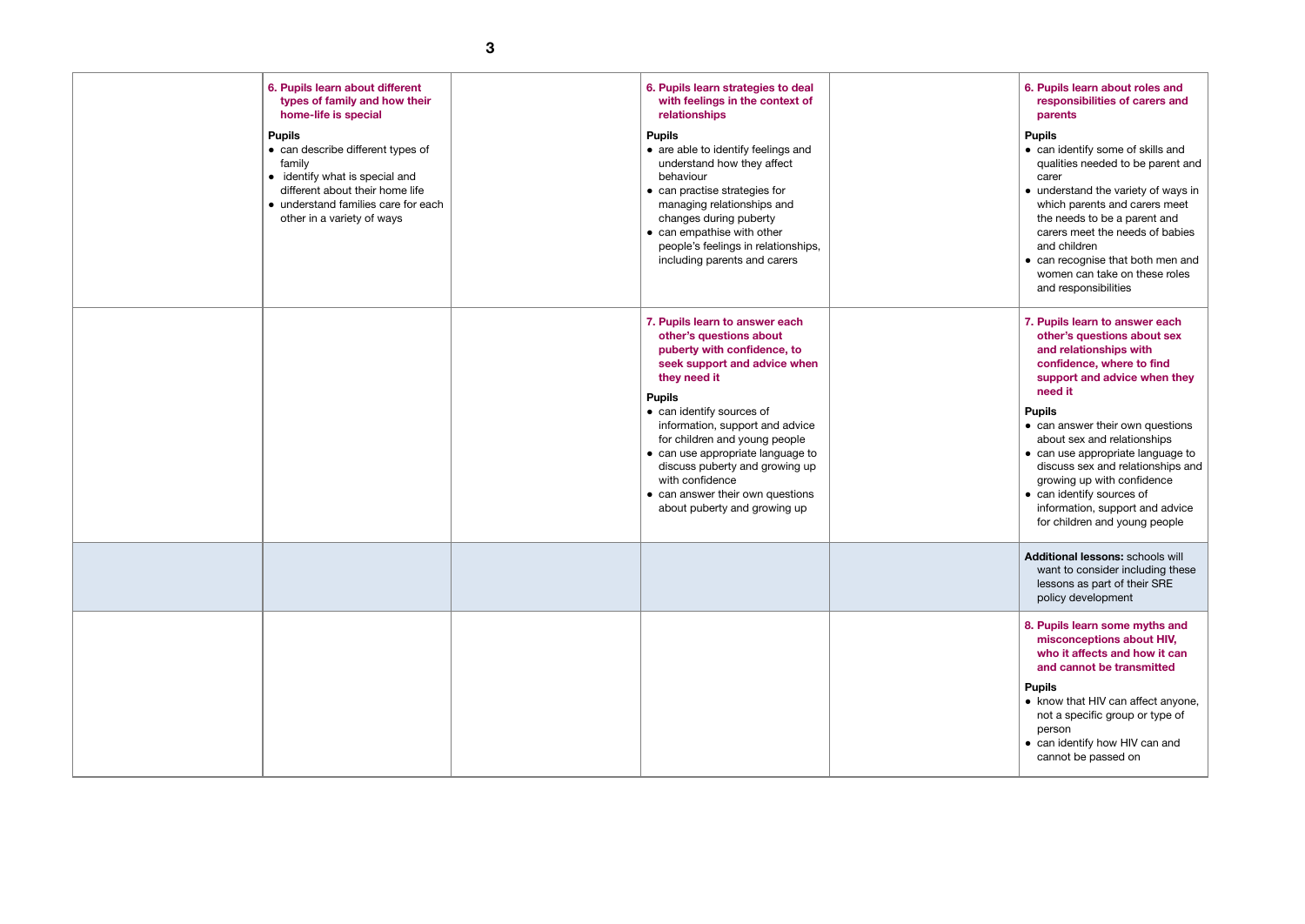| 6. Pupils learn about different<br>types of family and how their<br>home-life is special<br><b>Pupils</b><br>• can describe different types of<br>family<br>• identify what is special and<br>different about their home life<br>• understand families care for each<br>other in a variety of ways | 6. Pupils learn strategies to deal<br>with feelings in the context of<br>relationships<br><b>Pupils</b><br>• are able to identify feelings and<br>understand how they affect<br>behaviour<br>• can practise strategies for<br>managing relationships and<br>changes during puberty<br>• can empathise with other<br>people's feelings in relationships,<br>including parents and carers                                  |  |
|----------------------------------------------------------------------------------------------------------------------------------------------------------------------------------------------------------------------------------------------------------------------------------------------------|--------------------------------------------------------------------------------------------------------------------------------------------------------------------------------------------------------------------------------------------------------------------------------------------------------------------------------------------------------------------------------------------------------------------------|--|
|                                                                                                                                                                                                                                                                                                    | 7. Pupils learn to answer each<br>other's questions about<br>puberty with confidence, to<br>seek support and advice when<br>they need it<br><b>Pupils</b><br>• can identify sources of<br>information, support and advice<br>for children and young people<br>• can use appropriate language to<br>discuss puberty and growing up<br>with confidence<br>• can answer their own questions<br>about puberty and growing up |  |
|                                                                                                                                                                                                                                                                                                    |                                                                                                                                                                                                                                                                                                                                                                                                                          |  |
|                                                                                                                                                                                                                                                                                                    |                                                                                                                                                                                                                                                                                                                                                                                                                          |  |

| 6. Pupils learn about roles and<br>responsibilities of carers and<br>parents                                                                                                                                                                                                                                                                        |
|-----------------------------------------------------------------------------------------------------------------------------------------------------------------------------------------------------------------------------------------------------------------------------------------------------------------------------------------------------|
| <b>Pupils</b><br>can identify some of skills and<br>qualities needed to be parent and<br>carer<br>understand the variety of ways in<br>which parents and carers meet<br>the needs to be a parent and<br>carers meet the needs of babies<br>and children<br>can recognise that both men and<br>women can take on these roles<br>and responsibilities |
| 7. Pupils learn to answer each<br>other's questions about sex<br>and relationships with<br>confidence, where to find<br>support and advice when they<br>need it                                                                                                                                                                                     |
| <b>Pupils</b><br>can answer their own questions<br>about sex and relationships<br>can use appropriate language to<br>discuss sex and relationships and<br>growing up with confidence<br>can identify sources of<br>information, support and advice<br>for children and young people                                                                 |
| <b>Additional lessons: schools will</b><br>want to consider including these<br>lessons as part of their SRE<br>policy development                                                                                                                                                                                                                   |
| 8. Pupils learn some myths and<br>misconceptions about HIV,<br>who it affects and how it can<br>and cannot be transmitted                                                                                                                                                                                                                           |
| <b>Pupils</b><br>know that HIV can affect anyone,<br>not a specific group or type of<br>person<br>can identify how HIV can and<br>cannot be passed on                                                                                                                                                                                               |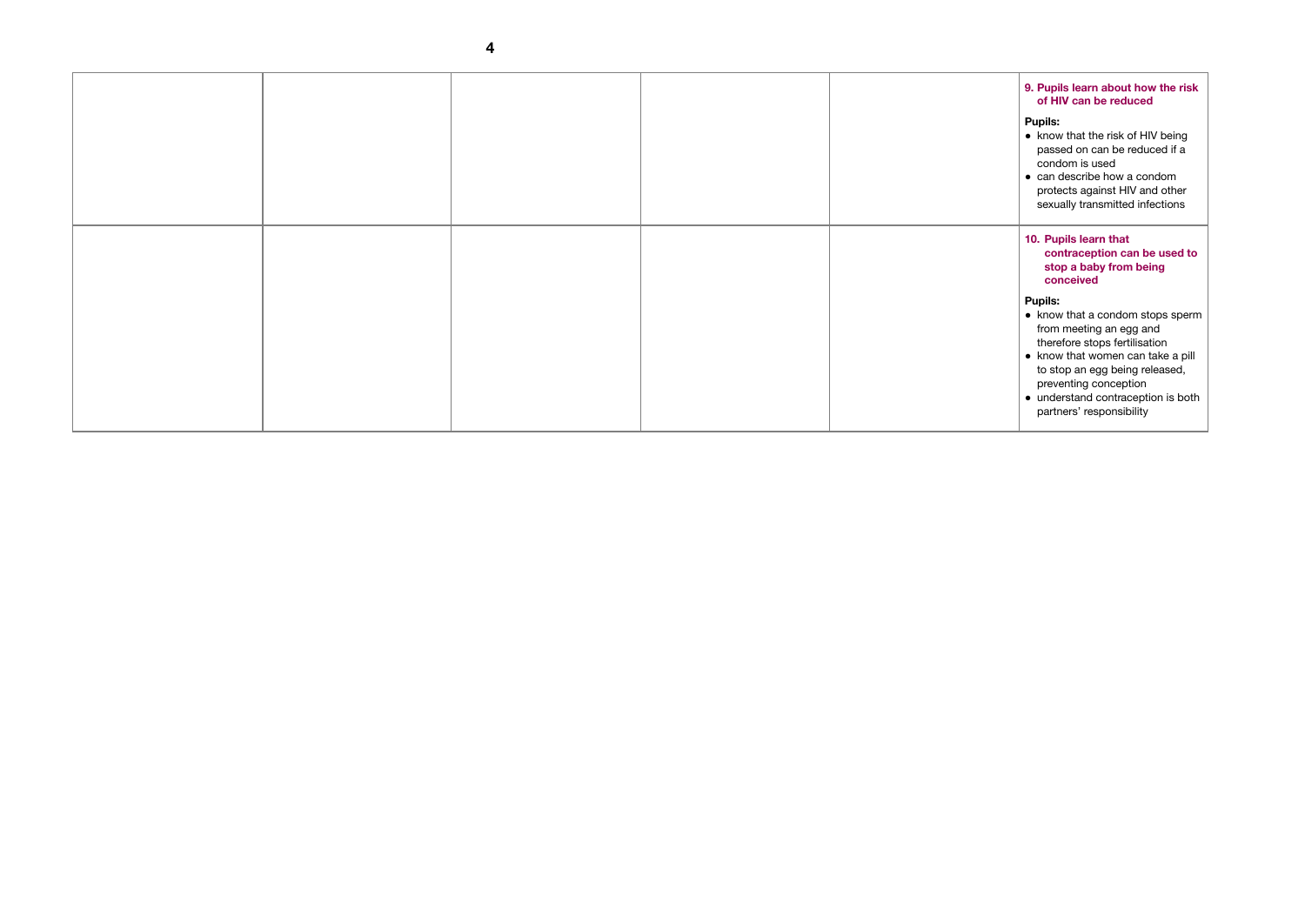| 9. Pupils learn about how the risk<br>of HIV can be reduced                                                                                                                                                                                                                |  |
|----------------------------------------------------------------------------------------------------------------------------------------------------------------------------------------------------------------------------------------------------------------------------|--|
| <b>Pupils:</b><br>know that the risk of HIV being<br>passed on can be reduced if a<br>condom is used<br>$\bullet\,$ can describe how a condom<br>protects against HIV and other<br>sexually transmitted infections                                                         |  |
| 10. Pupils learn that<br>contraception can be used to<br>stop a baby from being<br>conceived                                                                                                                                                                               |  |
| <b>Pupils:</b><br>know that a condom stops sperm<br>from meeting an egg and<br>therefore stops fertilisation<br>know that women can take a pill<br>to stop an egg being released,<br>preventing conception<br>understand contraception is both<br>partners' responsibility |  |